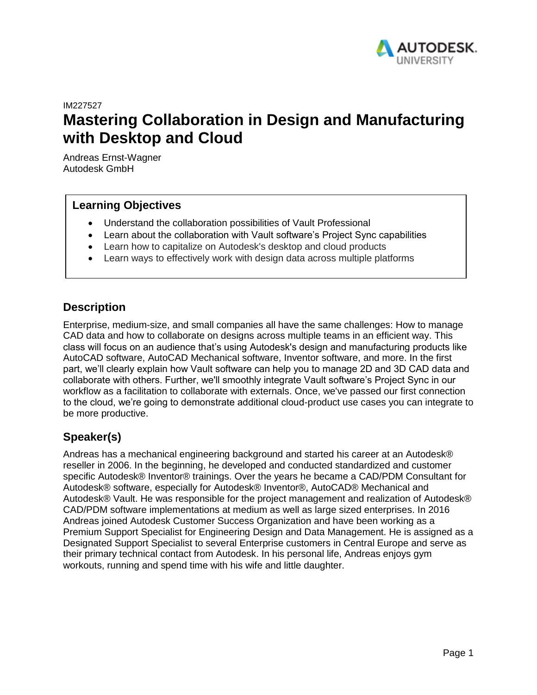

IM227527

# **Mastering Collaboration in Design and Manufacturing with Desktop and Cloud**

Andreas Ernst-Wagner Autodesk GmbH

# **Learning Objectives**

- Understand the collaboration possibilities of Vault Professional
- Learn about the collaboration with Vault software's Project Sync capabilities
- Learn how to capitalize on Autodesk's desktop and cloud products
- Learn ways to effectively work with design data across multiple platforms

## **Description**

Enterprise, medium-size, and small companies all have the same challenges: How to manage CAD data and how to collaborate on designs across multiple teams in an efficient way. This class will focus on an audience that's using Autodesk's design and manufacturing products like AutoCAD software, AutoCAD Mechanical software, Inventor software, and more. In the first part, we'll clearly explain how Vault software can help you to manage 2D and 3D CAD data and collaborate with others. Further, we'll smoothly integrate Vault software's Project Sync in our workflow as a facilitation to collaborate with externals. Once, we've passed our first connection to the cloud, we're going to demonstrate additional cloud-product use cases you can integrate to be more productive.

# **Speaker(s)**

Andreas has a mechanical engineering background and started his career at an Autodesk® reseller in 2006. In the beginning, he developed and conducted standardized and customer specific Autodesk® Inventor® trainings. Over the years he became a CAD/PDM Consultant for Autodesk® software, especially for Autodesk® Inventor®, AutoCAD® Mechanical and Autodesk® Vault. He was responsible for the project management and realization of Autodesk® CAD/PDM software implementations at medium as well as large sized enterprises. In 2016 Andreas joined Autodesk Customer Success Organization and have been working as a Premium Support Specialist for Engineering Design and Data Management. He is assigned as a Designated Support Specialist to several Enterprise customers in Central Europe and serve as their primary technical contact from Autodesk. In his personal life, Andreas enjoys gym workouts, running and spend time with his wife and little daughter.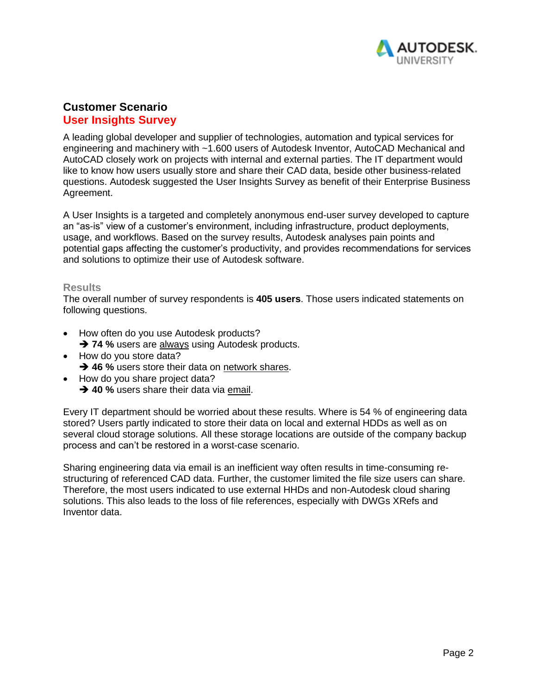

# **Customer Scenario User Insights Survey**

A leading global developer and supplier of technologies, automation and typical services for engineering and machinery with ~1.600 users of Autodesk Inventor, AutoCAD Mechanical and AutoCAD closely work on projects with internal and external parties. The IT department would like to know how users usually store and share their CAD data, beside other business-related questions. Autodesk suggested the User Insights Survey as benefit of their Enterprise Business Agreement.

A User Insights is a targeted and completely anonymous end-user survey developed to capture an "as-is" view of a customer's environment, including infrastructure, product deployments, usage, and workflows. Based on the survey results, Autodesk analyses pain points and potential gaps affecting the customer's productivity, and provides recommendations for services and solutions to optimize their use of Autodesk software.

### **Results**

The overall number of survey respondents is **405 users**. Those users indicated statements on following questions.

- How often do you use Autodesk products?
	- **→ 74 %** users are always using Autodesk products.
- How do you store data?
	- **→ 46 %** users store their data on network shares.
- How do you share project data?
	- **→ 40 %** users share their data via email.

Every IT department should be worried about these results. Where is 54 % of engineering data stored? Users partly indicated to store their data on local and external HDDs as well as on several cloud storage solutions. All these storage locations are outside of the company backup process and can't be restored in a worst-case scenario.

Sharing engineering data via email is an inefficient way often results in time-consuming restructuring of referenced CAD data. Further, the customer limited the file size users can share. Therefore, the most users indicated to use external HHDs and non-Autodesk cloud sharing solutions. This also leads to the loss of file references, especially with DWGs XRefs and Inventor data.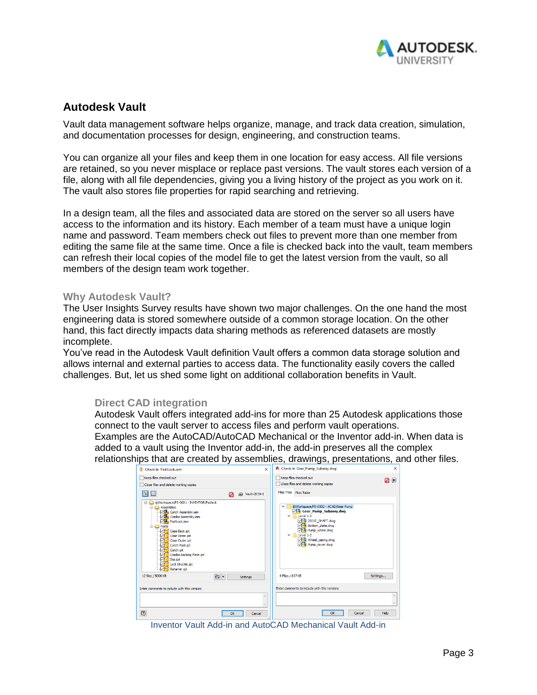

# **Autodesk Vault**

Vault data management software helps organize, manage, and track data creation, simulation, and documentation processes for design, engineering, and construction teams.

You can organize all your files and keep them in one location for easy access. All file versions are retained, so you never misplace or replace past versions. The vault stores each version of a file, along with all file dependencies, giving you a living history of the project as you work on it. The vault also stores file properties for rapid searching and retrieving.

In a design team, all the files and associated data are stored on the server so all users have access to the information and its history. Each member of a team must have a unique login name and password. Team members check out files to prevent more than one member from editing the same file at the same time. Once a file is checked back into the vault, team members can refresh their local copies of the model file to get the latest version from the vault, so all members of the design team work together.

### **Why Autodesk Vault?**

The User Insights Survey results have shown two major challenges. On the one hand the most engineering data is stored somewhere outside of a common storage location. On the other hand, this fact directly impacts data sharing methods as referenced datasets are mostly incomplete.

You've read in the Autodesk Vault definition Vault offers a common data storage solution and allows internal and external parties to access data. The functionality easily covers the called challenges. But, let us shed some light on additional collaboration benefits in Vault.

## **Direct CAD integration**

Autodesk Vault offers integrated add-ins for more than 25 Autodesk applications those connect to the vault server to access files and perform vault operations. Examples are the AutoCAD/AutoCAD Mechanical or the Inventor add-in. When data is added to a vault using the Inventor add-in, the add-in preserves all the complex relationships that are created by assemblies, drawings, presentations, and other files.

| $\times$<br><b>I</b> Check In 'Pad Lock.jam'                                                                                                                                                                                                                                                                                                                        | A Check In 'Gear_Pump_Subassy.dwg'<br>×                                                                                                                                                                                                    |
|---------------------------------------------------------------------------------------------------------------------------------------------------------------------------------------------------------------------------------------------------------------------------------------------------------------------------------------------------------------------|--------------------------------------------------------------------------------------------------------------------------------------------------------------------------------------------------------------------------------------------|
| Keep files checked out<br>Close files and delete working copies                                                                                                                                                                                                                                                                                                     | Keep files checked out<br>0 p<br>Close files and delete working copies                                                                                                                                                                     |
| 僵<br>圈<br>Vault-2019-1<br>áй<br>Ø                                                                                                                                                                                                                                                                                                                                   | Files Tree Files Table                                                                                                                                                                                                                     |
| S/Workspace/PS-0001 - INVENTOR/Padlock<br><b>B</b> Assemblies<br><b>Pa</b> Catch Assembly.iam<br>Combo Assembly.iam<br><b>Pad Lock.iam</b><br><b>B-Rand</b> Parts<br>Case Back.ipt<br>☞<br>Case Inner.ipt<br>Case Outer.ipt<br>☑<br>Catch Post.ipt<br>☑<br>Catch.ipt<br>罓<br>Combo Backing Plate.ipt<br>☑<br>Dial.ipt<br>罓<br>Lock Shackle.ipt<br>☑<br>Retainer.ipt | \$/Workspace/PS-0002 - ACAD/Gear Pump<br>$\checkmark$<br>Gear Pump Subassy.dwg<br>Level 1-1<br>$\checkmark$<br>DRIVE_SHAFT.dwg<br>Bottom_plate.dwg<br>□ Pump wheel.dwa<br>$\vee$ Level 1-2<br><b>ME</b> Wheel_casing.dwg<br>Pump cover.dwg |
| 12 files / 5006 KB<br>四 -<br><b>Settings</b>                                                                                                                                                                                                                                                                                                                        | 6 Files / 637 KB<br>Settings                                                                                                                                                                                                               |
| Enter comments to include with this version:                                                                                                                                                                                                                                                                                                                        | Enter comments to include with this version:                                                                                                                                                                                               |
| ۸                                                                                                                                                                                                                                                                                                                                                                   |                                                                                                                                                                                                                                            |
| $\overline{2}$<br>OK<br>Cancel                                                                                                                                                                                                                                                                                                                                      | Help<br>OK<br>Cancel                                                                                                                                                                                                                       |

Inventor Vault Add-in and AutoCAD Mechanical Vault Add-in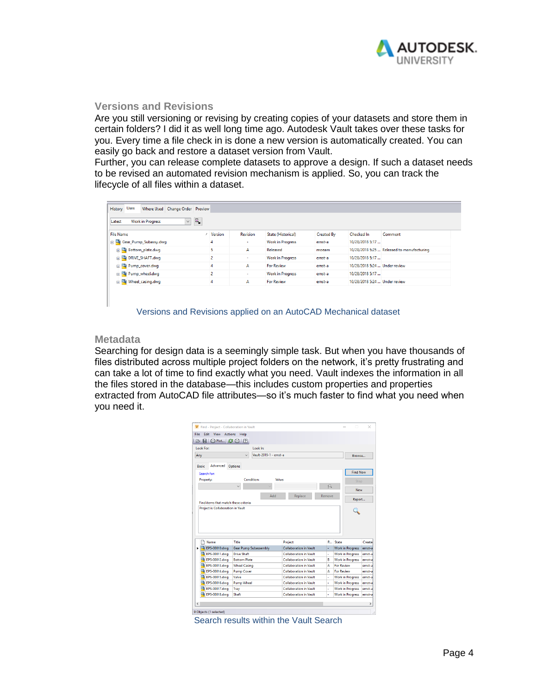

## **Versions and Revisions**

Are you still versioning or revising by creating copies of your datasets and store them in certain folders? I did it as well long time ago. Autodesk Vault takes over these tasks for you. Every time a file check in is done a new version is automatically created. You can easily go back and restore a dataset version from Vault.

Further, you can release complete datasets to approve a design. If such a dataset needs to be revised an automated revision mechanism is applied. So, you can track the lifecycle of all files within a dataset.

| P,<br><b>Work in Progress</b><br>$\checkmark$<br>Latest |                           |                |                 |                           |                   |                               |                                            |
|---------------------------------------------------------|---------------------------|----------------|-----------------|---------------------------|-------------------|-------------------------------|--------------------------------------------|
| <b>File Name</b>                                        |                           | Version        | <b>Revision</b> | <b>State (Historical)</b> | <b>Created By</b> | Checked In                    | Comment                                    |
|                                                         | Gear_Pump_Subassy.dwg     | 4              | ÷               | <b>Work in Progress</b>   | ernst-a           | 10/28/2018 5:17               |                                            |
|                                                         | Bottom_plate.dwg          | 5              | A               | Released                  | moeam             |                               | 10/28/2018 5:25  Released to manufacturing |
|                                                         | <b>ED DRIVE_SHAFT.dwg</b> | $\overline{2}$ | a.              | <b>Work in Progress</b>   | ernst-a           | 10/28/2018 5:17               |                                            |
|                                                         | Pump_cover.dwg            | 4              | A               | <b>For Review</b>         | ernst-a           | 10/28/2018 5:24  Under review |                                            |
|                                                         | Pump_wheel.dwg            | $\overline{2}$ |                 | <b>Work in Progress</b>   | ernst-a           | 10/28/2018 5:17               |                                            |
|                                                         | Wheel_casing.dwg          | 4              | А               | <b>For Review</b>         | ernst-a           | 10/28/2018 5:24  Under review |                                            |

Versions and Revisions applied on an AutoCAD Mechanical dataset

## **Metadata**

Searching for design data is a seemingly simple task. But when you have thousands of files distributed across multiple project folders on the network, it's pretty frustrating and can take a lot of time to find exactly what you need. Vault indexes the information in all the files stored in the database—this includes custom properties and properties extracted from AutoCAD file attributes—so it's much faster to find what you need when you need it.

| : 2 8 8 Plot   <i>8</i> 8   7<br><b>Look For:</b>                                 |                              | Look In:               |                               |        |                                                    |                                                                                       |
|-----------------------------------------------------------------------------------|------------------------------|------------------------|-------------------------------|--------|----------------------------------------------------|---------------------------------------------------------------------------------------|
|                                                                                   |                              | Vault-2019-1 - ernst-a |                               |        |                                                    |                                                                                       |
| Any                                                                               |                              |                        |                               |        | <b>Browse</b>                                      |                                                                                       |
| Advanced<br><b>Basic</b>                                                          | Options                      |                        |                               |        |                                                    |                                                                                       |
| Search for:                                                                       |                              |                        |                               |        | <b>Find Now</b>                                    |                                                                                       |
| Property:                                                                         | <b>Condition:</b>            |                        | <b>Value:</b>                 |        | Stop                                               |                                                                                       |
|                                                                                   | $\checkmark$                 |                        |                               | 众      |                                                    |                                                                                       |
|                                                                                   |                              |                        |                               |        | New                                                |                                                                                       |
|                                                                                   |                              | Add                    | Replace                       | Remove |                                                    |                                                                                       |
|                                                                                   |                              |                        |                               |        |                                                    |                                                                                       |
|                                                                                   |                              |                        |                               |        | Report                                             |                                                                                       |
| Find items that match these criteria:<br><b>Project is Collaboration in Vault</b> |                              |                        |                               |        |                                                    |                                                                                       |
|                                                                                   |                              |                        |                               |        |                                                    |                                                                                       |
|                                                                                   |                              |                        |                               |        |                                                    |                                                                                       |
|                                                                                   |                              |                        |                               |        |                                                    |                                                                                       |
|                                                                                   |                              |                        |                               |        |                                                    |                                                                                       |
| Name                                                                              | Title                        |                        | Project                       | R      | State                                              |                                                                                       |
| $\left  \right $ EPS-00010.dwg                                                    | <b>Gear Pump Subassembly</b> |                        | <b>Collaboration in Vault</b> | ä,     | <b>Work in Progress</b>                            |                                                                                       |
| EPS-00011.dwg                                                                     | Drive Shaft                  |                        | <b>Collaboration in Vault</b> | ä,     | <b>Work in Progress</b>                            |                                                                                       |
| EPS-00012.dwg                                                                     | <b>Bottom Plate</b>          |                        | <b>Collaboration in Vault</b> | B      | <b>Work in Progress</b>                            |                                                                                       |
| EPS-00013.dwg                                                                     | <b>Wheel Casing</b>          |                        | <b>Collaboration in Vault</b> | Δ      | <b>For Review</b>                                  |                                                                                       |
| EPS-00014.dwg                                                                     | <b>Pump Cover</b>            |                        | <b>Collaboration in Vault</b> | A      | For Review                                         |                                                                                       |
| EPS-00015.dwg                                                                     | Valve                        |                        | <b>Collaboration in Vault</b> | ä,     | <b>Work in Progress</b>                            |                                                                                       |
| EPS-00016.dwg                                                                     | <b>Pump Wheel</b>            |                        | <b>Collaboration in Vault</b> | ä,     | <b>Work in Progress</b>                            | Creater<br>ernst-a<br>ernst-a<br>ernst-a<br>ernst-al<br>ernst-a<br>ernst-a<br>ernst-a |
| EPS-00017.dwg<br>EPS-00018.dwg                                                    | Tray                         |                        | <b>Collaboration in Vault</b> | ä,     | <b>Work in Progress</b><br><b>Work in Progress</b> | ernst-al                                                                              |

Search results within the Vault Search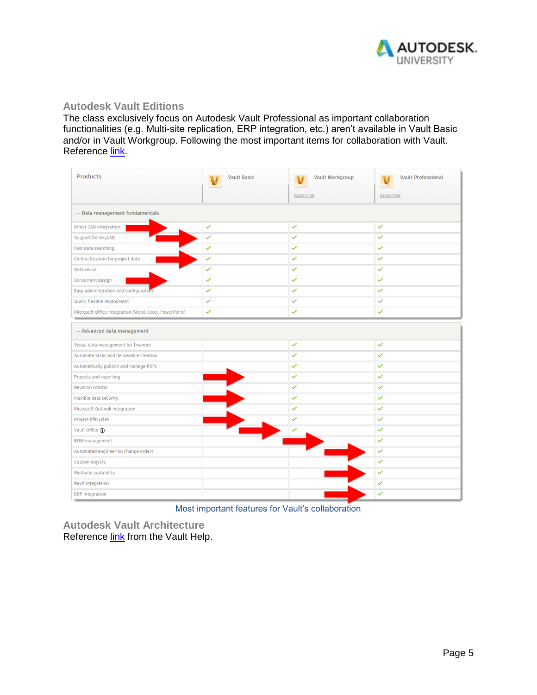

#### **Autodesk Vault Editions**

The class exclusively focus on Autodesk Vault Professional as important collaboration functionalities (e.g. Multi-site replication, ERP integration, etc.) aren't available in Vault Basic and/or in Vault Workgroup. Following the most important items for collaboration with Vault. Reference [link.](https://www.autodesk.com/products/vault/compare-products)

| <b>Products</b>                                        | <b>Vault Basic</b> | <b>Vault Workgroup</b> | <b>Vault Professional</b> |  |  |  |  |  |
|--------------------------------------------------------|--------------------|------------------------|---------------------------|--|--|--|--|--|
|                                                        |                    | Subscribe              | Subscribe                 |  |  |  |  |  |
| - Data management fundamentals                         |                    |                        |                           |  |  |  |  |  |
| Direct CAD integration                                 | ✓                  | $\checkmark$           | $\checkmark$              |  |  |  |  |  |
| Support for AnyCAD                                     | $\checkmark$       | $\checkmark$           | $\checkmark$              |  |  |  |  |  |
| Fast data searching                                    | $\checkmark$       | $\checkmark$           | $\checkmark$              |  |  |  |  |  |
| Central location for project data                      | ✓                  | ✓                      | ✓                         |  |  |  |  |  |
| Data reuse                                             | ✓                  | $\checkmark$           | $\checkmark$              |  |  |  |  |  |
| Concurrent design                                      | $\checkmark$       | $\checkmark$           | $\checkmark$              |  |  |  |  |  |
| Easy administration and configuration                  | ✓                  | $\checkmark$           | $\checkmark$              |  |  |  |  |  |
| Quick, flexible deployment                             | ✓                  | ✓                      | ✓                         |  |  |  |  |  |
| Microsoft Office integration (Word, Excel, PowerPoint) | ✓                  | $\checkmark$           | $\checkmark$              |  |  |  |  |  |
| - Advanced data management                             |                    |                        |                           |  |  |  |  |  |
| Visual data management for Inventor                    |                    | $\checkmark$           | $\checkmark$              |  |  |  |  |  |
| Automate tasks and deliverable creation                |                    | $\checkmark$           | $\checkmark$              |  |  |  |  |  |
| Automatically publish and manage PDFs                  |                    | $\checkmark$           | $\checkmark$              |  |  |  |  |  |
| Projects and reporting                                 |                    | $\checkmark$           | $\checkmark$              |  |  |  |  |  |
| <b>Revision control</b>                                |                    | $\checkmark$           | $\checkmark$              |  |  |  |  |  |
| Flexible data security                                 |                    | ✓                      | $\checkmark$              |  |  |  |  |  |
| Microsoft Outlook integration                          |                    | $\checkmark$           | $\checkmark$              |  |  |  |  |  |
| Project lifecycles                                     |                    | ✓                      | $\checkmark$              |  |  |  |  |  |
| Vault Office (j)                                       |                    |                        | $\checkmark$              |  |  |  |  |  |
| <b>BOM</b> management                                  |                    |                        | $\checkmark$              |  |  |  |  |  |
| Automated engineering change orders                    |                    |                        | ✓                         |  |  |  |  |  |
| Custom objects                                         |                    |                        | $\checkmark$              |  |  |  |  |  |
| Multisite scalability                                  |                    |                        | $\checkmark$              |  |  |  |  |  |
| Revit integration                                      |                    |                        | $\checkmark$              |  |  |  |  |  |
| <b>ERP</b> integration                                 |                    |                        | $\checkmark$              |  |  |  |  |  |

Most important features for Vault's collaboration

**Autodesk Vault Architecture** Reference [link](http://help.autodesk.com/view/VAULT/2019/ENU/?guid=GUID-8E5D6085-A006-4D9F-B880-10E18BABFF6B) from the Vault Help.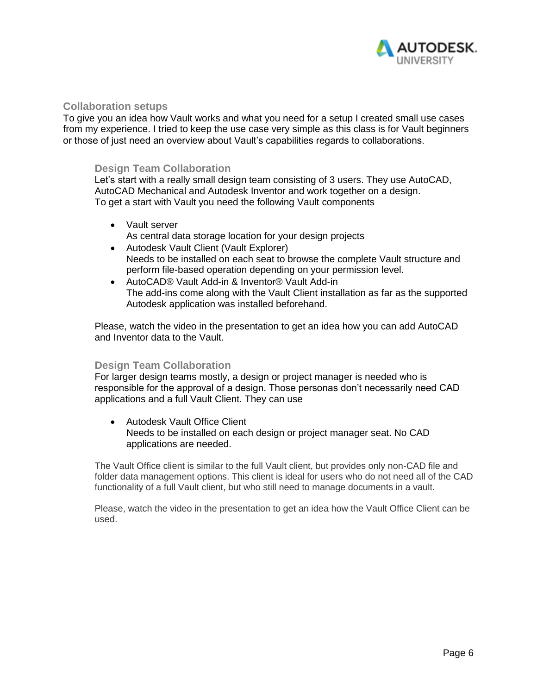

### **Collaboration setups**

To give you an idea how Vault works and what you need for a setup I created small use cases from my experience. I tried to keep the use case very simple as this class is for Vault beginners or those of just need an overview about Vault's capabilities regards to collaborations.

### **Design Team Collaboration**

Let's start with a really small design team consisting of 3 users. They use AutoCAD, AutoCAD Mechanical and Autodesk Inventor and work together on a design. To get a start with Vault you need the following Vault components

- Vault server As central data storage location for your design projects
- Autodesk Vault Client (Vault Explorer) Needs to be installed on each seat to browse the complete Vault structure and perform file-based operation depending on your permission level.
- AutoCAD® Vault Add-in & Inventor® Vault Add-in The add-ins come along with the Vault Client installation as far as the supported Autodesk application was installed beforehand.

Please, watch the video in the presentation to get an idea how you can add AutoCAD and Inventor data to the Vault.

#### **Design Team Collaboration**

For larger design teams mostly, a design or project manager is needed who is responsible for the approval of a design. Those personas don't necessarily need CAD applications and a full Vault Client. They can use

• Autodesk Vault Office Client Needs to be installed on each design or project manager seat. No CAD applications are needed.

The Vault Office client is similar to the full Vault client, but provides only non-CAD file and folder data management options. This client is ideal for users who do not need all of the CAD functionality of a full Vault client, but who still need to manage documents in a vault.

Please, watch the video in the presentation to get an idea how the Vault Office Client can be used.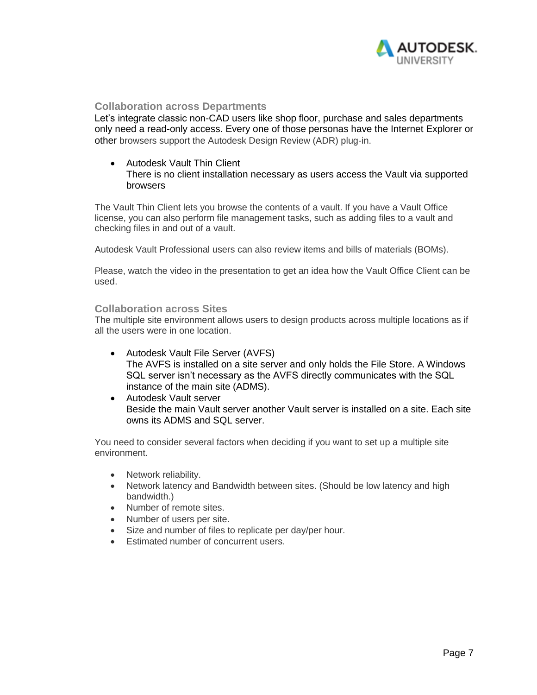

## **Collaboration across Departments**

Let's integrate classic non-CAD users like shop floor, purchase and sales departments only need a read-only access. Every one of those personas have the Internet Explorer or other browsers support the Autodesk Design Review (ADR) plug-in.

• Autodesk Vault Thin Client There is no client installation necessary as users access the Vault via supported browsers

The Vault Thin Client lets you browse the contents of a vault. If you have a Vault Office license, you can also perform file management tasks, such as adding files to a vault and checking files in and out of a vault.

Autodesk Vault Professional users can also review items and bills of materials (BOMs).

Please, watch the video in the presentation to get an idea how the Vault Office Client can be used.

#### **Collaboration across Sites**

The multiple site environment allows users to design products across multiple locations as if all the users were in one location.

- Autodesk Vault File Server (AVFS) The AVFS is installed on a site server and only holds the File Store. A Windows SQL server isn't necessary as the AVFS directly communicates with the SQL instance of the main site (ADMS).
- Autodesk Vault server Beside the main Vault server another Vault server is installed on a site. Each site owns its ADMS and SQL server.

You need to consider several factors when deciding if you want to set up a multiple site environment.

- Network reliability.
- Network latency and Bandwidth between sites. (Should be low latency and high bandwidth.)
- Number of remote sites.
- Number of users per site.
- Size and number of files to replicate per day/per hour.
- Estimated number of concurrent users.